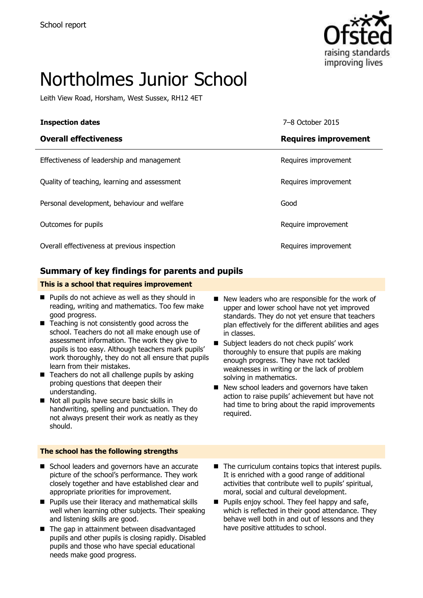

# Northolmes Junior School

Leith View Road, Horsham, West Sussex, RH12 4ET

| <b>Inspection dates</b>                      | 7–8 October 2015            |
|----------------------------------------------|-----------------------------|
| <b>Overall effectiveness</b>                 | <b>Requires improvement</b> |
| Effectiveness of leadership and management   | Requires improvement        |
| Quality of teaching, learning and assessment | Requires improvement        |
| Personal development, behaviour and welfare  | Good                        |
| Outcomes for pupils                          | Require improvement         |
| Overall effectiveness at previous inspection | Requires improvement        |

#### **Summary of key findings for parents and pupils**

#### **This is a school that requires improvement**

- $\blacksquare$  Pupils do not achieve as well as they should in reading, writing and mathematics. Too few make good progress.
- Teaching is not consistently good across the school. Teachers do not all make enough use of assessment information. The work they give to pupils is too easy. Although teachers mark pupils' work thoroughly, they do not all ensure that pupils learn from their mistakes.
- $\blacksquare$  Teachers do not all challenge pupils by asking probing questions that deepen their understanding.
- Not all pupils have secure basic skills in handwriting, spelling and punctuation. They do not always present their work as neatly as they should.

#### **The school has the following strengths**

- School leaders and governors have an accurate picture of the school's performance. They work closely together and have established clear and appropriate priorities for improvement.
- **Pupils use their literacy and mathematical skills** well when learning other subjects. Their speaking and listening skills are good.
- The gap in attainment between disadvantaged pupils and other pupils is closing rapidly. Disabled pupils and those who have special educational needs make good progress.
- New leaders who are responsible for the work of upper and lower school have not yet improved standards. They do not yet ensure that teachers plan effectively for the different abilities and ages in classes.
- Subject leaders do not check pupils' work thoroughly to ensure that pupils are making enough progress. They have not tackled weaknesses in writing or the lack of problem solving in mathematics.
- New school leaders and governors have taken action to raise pupils' achievement but have not had time to bring about the rapid improvements required.
- The curriculum contains topics that interest pupils. It is enriched with a good range of additional activities that contribute well to pupils' spiritual, moral, social and cultural development.
- $\blacksquare$  Pupils enjoy school. They feel happy and safe, which is reflected in their good attendance. They behave well both in and out of lessons and they have positive attitudes to school.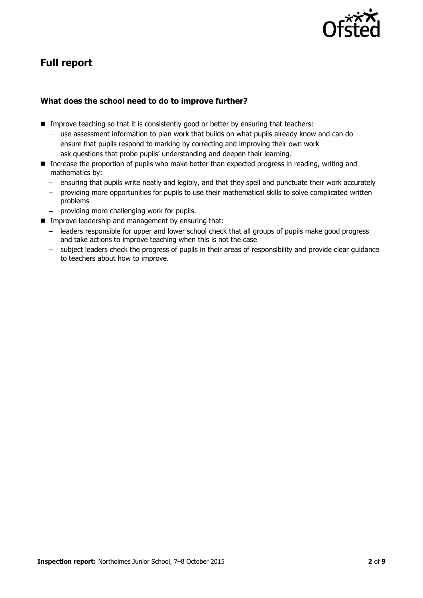

# **Full report**

#### **What does the school need to do to improve further?**

- Improve teaching so that it is consistently good or better by ensuring that teachers:
	- use assessment information to plan work that builds on what pupils already know and can do
	- ensure that pupils respond to marking by correcting and improving their own work
	- ask questions that probe pupils' understanding and deepen their learning.
- **Increase the proportion of pupils who make better than expected progress in reading, writing and** mathematics by:
	- ensuring that pupils write neatly and legibly, and that they spell and punctuate their work accurately
	- $\sim$ providing more opportunities for pupils to use their mathematical skills to solve complicated written problems
	- providing more challenging work for pupils.
- **IMPROVE leadership and management by ensuring that:** 
	- leaders responsible for upper and lower school check that all groups of pupils make good progress and take actions to improve teaching when this is not the case
	- subject leaders check the progress of pupils in their areas of responsibility and provide clear guidance to teachers about how to improve.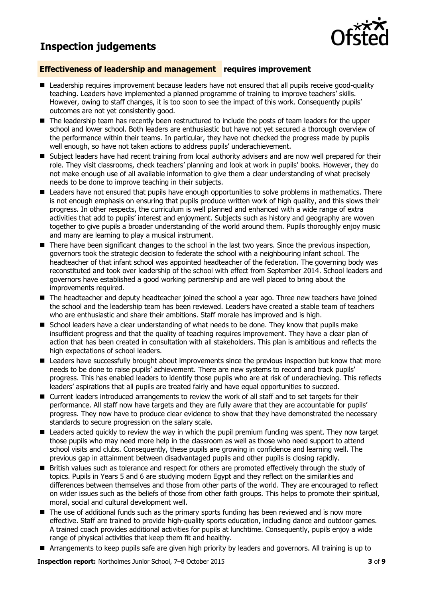## **Inspection judgements**



#### **Effectiveness of leadership and management requires improvement**

- **E** Leadership requires improvement because leaders have not ensured that all pupils receive good-quality teaching. Leaders have implemented a planned programme of training to improve teachers' skills. However, owing to staff changes, it is too soon to see the impact of this work. Consequently pupils' outcomes are not yet consistently good.
- $\blacksquare$  The leadership team has recently been restructured to include the posts of team leaders for the upper school and lower school. Both leaders are enthusiastic but have not yet secured a thorough overview of the performance within their teams. In particular, they have not checked the progress made by pupils well enough, so have not taken actions to address pupils' underachievement.
- **Subject leaders have had recent training from local authority advisers and are now well prepared for their** role. They visit classrooms, check teachers' planning and look at work in pupils' books. However, they do not make enough use of all available information to give them a clear understanding of what precisely needs to be done to improve teaching in their subjects.
- Leaders have not ensured that pupils have enough opportunities to solve problems in mathematics. There is not enough emphasis on ensuring that pupils produce written work of high quality, and this slows their progress. In other respects, the curriculum is well planned and enhanced with a wide range of extra activities that add to pupils' interest and enjoyment. Subjects such as history and geography are woven together to give pupils a broader understanding of the world around them. Pupils thoroughly enjoy music and many are learning to play a musical instrument.
- **There have been significant changes to the school in the last two years. Since the previous inspection,** governors took the strategic decision to federate the school with a neighbouring infant school. The headteacher of that infant school was appointed headteacher of the federation. The governing body was reconstituted and took over leadership of the school with effect from September 2014. School leaders and governors have established a good working partnership and are well placed to bring about the improvements required.
- The headteacher and deputy headteacher joined the school a year ago. Three new teachers have joined the school and the leadership team has been reviewed. Leaders have created a stable team of teachers who are enthusiastic and share their ambitions. Staff morale has improved and is high.
- $\blacksquare$  School leaders have a clear understanding of what needs to be done. They know that pupils make insufficient progress and that the quality of teaching requires improvement. They have a clear plan of action that has been created in consultation with all stakeholders. This plan is ambitious and reflects the high expectations of school leaders.
- **E** Leaders have successfully brought about improvements since the previous inspection but know that more needs to be done to raise pupils' achievement. There are new systems to record and track pupils' progress. This has enabled leaders to identify those pupils who are at risk of underachieving. This reflects leaders' aspirations that all pupils are treated fairly and have equal opportunities to succeed.
- Current leaders introduced arrangements to review the work of all staff and to set targets for their performance. All staff now have targets and they are fully aware that they are accountable for pupils' progress. They now have to produce clear evidence to show that they have demonstrated the necessary standards to secure progression on the salary scale.
- Leaders acted quickly to review the way in which the pupil premium funding was spent. They now target those pupils who may need more help in the classroom as well as those who need support to attend school visits and clubs. Consequently, these pupils are growing in confidence and learning well. The previous gap in attainment between disadvantaged pupils and other pupils is closing rapidly.
- **British values such as tolerance and respect for others are promoted effectively through the study of** topics. Pupils in Years 5 and 6 are studying modern Egypt and they reflect on the similarities and differences between themselves and those from other parts of the world. They are encouraged to reflect on wider issues such as the beliefs of those from other faith groups. This helps to promote their spiritual, moral, social and cultural development well.
- $\blacksquare$  The use of additional funds such as the primary sports funding has been reviewed and is now more effective. Staff are trained to provide high-quality sports education, including dance and outdoor games. A trained coach provides additional activities for pupils at lunchtime. Consequently, pupils enjoy a wide range of physical activities that keep them fit and healthy.
- Arrangements to keep pupils safe are given high priority by leaders and governors. All training is up to

**Inspection report:** Northolmes Junior School, 7–8 October 2015 **3** of **9**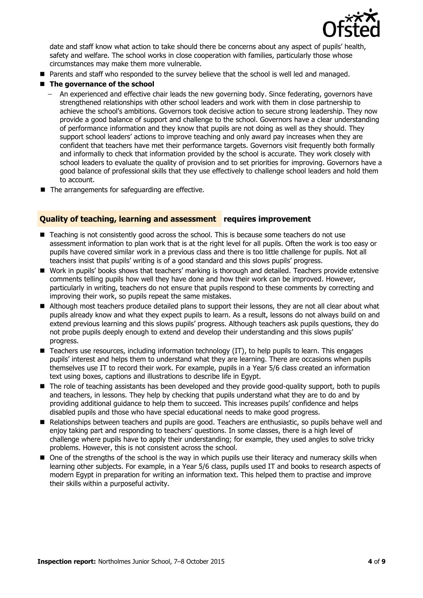

date and staff know what action to take should there be concerns about any aspect of pupils' health, safety and welfare. The school works in close cooperation with families, particularly those whose circumstances may make them more vulnerable.

**Parents and staff who responded to the survey believe that the school is well led and managed.** 

#### **The governance of the school**

- An experienced and effective chair leads the new governing body. Since federating, governors have strengthened relationships with other school leaders and work with them in close partnership to achieve the school's ambitions. Governors took decisive action to secure strong leadership. They now provide a good balance of support and challenge to the school. Governors have a clear understanding of performance information and they know that pupils are not doing as well as they should. They support school leaders' actions to improve teaching and only award pay increases when they are confident that teachers have met their performance targets. Governors visit frequently both formally and informally to check that information provided by the school is accurate. They work closely with school leaders to evaluate the quality of provision and to set priorities for improving. Governors have a good balance of professional skills that they use effectively to challenge school leaders and hold them to account.
- The arrangements for safeguarding are effective.

#### **Quality of teaching, learning and assessment requires improvement**

- Teaching is not consistently good across the school. This is because some teachers do not use assessment information to plan work that is at the right level for all pupils. Often the work is too easy or pupils have covered similar work in a previous class and there is too little challenge for pupils. Not all teachers insist that pupils' writing is of a good standard and this slows pupils' progress.
- Work in pupils' books shows that teachers' marking is thorough and detailed. Teachers provide extensive comments telling pupils how well they have done and how their work can be improved. However, particularly in writing, teachers do not ensure that pupils respond to these comments by correcting and improving their work, so pupils repeat the same mistakes.
- Although most teachers produce detailed plans to support their lessons, they are not all clear about what pupils already know and what they expect pupils to learn. As a result, lessons do not always build on and extend previous learning and this slows pupils' progress. Although teachers ask pupils questions, they do not probe pupils deeply enough to extend and develop their understanding and this slows pupils' progress.
- Teachers use resources, including information technology (IT), to help pupils to learn. This engages pupils' interest and helps them to understand what they are learning. There are occasions when pupils themselves use IT to record their work. For example, pupils in a Year 5/6 class created an information text using boxes, captions and illustrations to describe life in Egypt.
- The role of teaching assistants has been developed and they provide good-quality support, both to pupils and teachers, in lessons. They help by checking that pupils understand what they are to do and by providing additional guidance to help them to succeed. This increases pupils' confidence and helps disabled pupils and those who have special educational needs to make good progress.
- Relationships between teachers and pupils are good. Teachers are enthusiastic, so pupils behave well and enjoy taking part and responding to teachers' questions. In some classes, there is a high level of challenge where pupils have to apply their understanding; for example, they used angles to solve tricky problems. However, this is not consistent across the school.
- $\blacksquare$  One of the strengths of the school is the way in which pupils use their literacy and numeracy skills when learning other subjects. For example, in a Year 5/6 class, pupils used IT and books to research aspects of modern Egypt in preparation for writing an information text. This helped them to practise and improve their skills within a purposeful activity.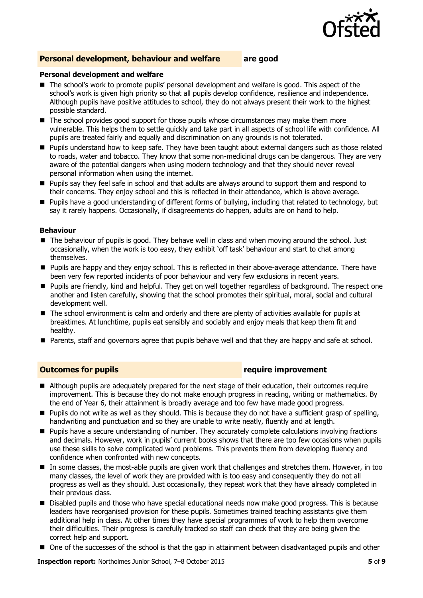

#### **Personal development, behaviour and welfare are good**

#### **Personal development and welfare**

- The school's work to promote pupils' personal development and welfare is good. This aspect of the school's work is given high priority so that all pupils develop confidence, resilience and independence. Although pupils have positive attitudes to school, they do not always present their work to the highest possible standard.
- The school provides good support for those pupils whose circumstances may make them more vulnerable. This helps them to settle quickly and take part in all aspects of school life with confidence. All pupils are treated fairly and equally and discrimination on any grounds is not tolerated.
- **Pupils understand how to keep safe. They have been taught about external dangers such as those related** to roads, water and tobacco. They know that some non-medicinal drugs can be dangerous. They are very aware of the potential dangers when using modern technology and that they should never reveal personal information when using the internet.
- Pupils say they feel safe in school and that adults are always around to support them and respond to their concerns. They enjoy school and this is reflected in their attendance, which is above average.
- Pupils have a good understanding of different forms of bullying, including that related to technology, but say it rarely happens. Occasionally, if disagreements do happen, adults are on hand to help.

#### **Behaviour**

- The behaviour of pupils is good. They behave well in class and when moving around the school. Just occasionally, when the work is too easy, they exhibit 'off task' behaviour and start to chat among themselves.
- Pupils are happy and they enjoy school. This is reflected in their above-average attendance. There have been very few reported incidents of poor behaviour and very few exclusions in recent years.
- **Pupils are friendly, kind and helpful. They get on well together regardless of background. The respect one** another and listen carefully, showing that the school promotes their spiritual, moral, social and cultural development well.
- The school environment is calm and orderly and there are plenty of activities available for pupils at breaktimes. At lunchtime, pupils eat sensibly and sociably and enjoy meals that keep them fit and healthy.
- **Parents, staff and governors agree that pupils behave well and that they are happy and safe at school.**

#### **Outcomes for pupils require improvement**

- Although pupils are adequately prepared for the next stage of their education, their outcomes require improvement. This is because they do not make enough progress in reading, writing or mathematics. By the end of Year 6, their attainment is broadly average and too few have made good progress.
- **Pupils do not write as well as they should. This is because they do not have a sufficient grasp of spelling,** handwriting and punctuation and so they are unable to write neatly, fluently and at length.
- **Pupils have a secure understanding of number. They accurately complete calculations involving fractions** and decimals. However, work in pupils' current books shows that there are too few occasions when pupils use these skills to solve complicated word problems. This prevents them from developing fluency and confidence when confronted with new concepts.
- In some classes, the most-able pupils are given work that challenges and stretches them. However, in too many classes, the level of work they are provided with is too easy and consequently they do not all progress as well as they should. Just occasionally, they repeat work that they have already completed in their previous class.
- Disabled pupils and those who have special educational needs now make good progress. This is because leaders have reorganised provision for these pupils. Sometimes trained teaching assistants give them additional help in class. At other times they have special programmes of work to help them overcome their difficulties. Their progress is carefully tracked so staff can check that they are being given the correct help and support.
- One of the successes of the school is that the gap in attainment between disadvantaged pupils and other

**Inspection report:** Northolmes Junior School, 7–8 October 2015 **5** of **9**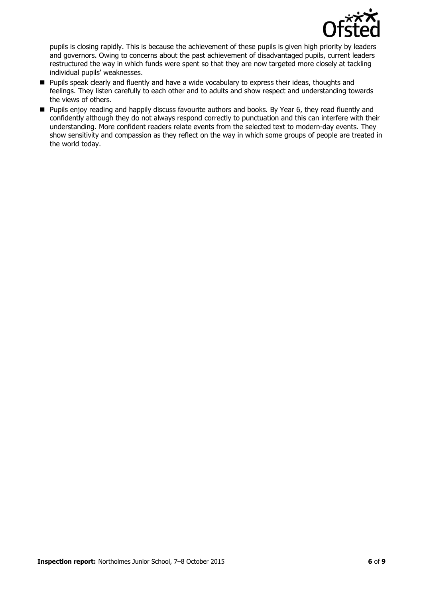

pupils is closing rapidly. This is because the achievement of these pupils is given high priority by leaders and governors. Owing to concerns about the past achievement of disadvantaged pupils, current leaders restructured the way in which funds were spent so that they are now targeted more closely at tackling individual pupils' weaknesses.

- **Pupils speak clearly and fluently and have a wide vocabulary to express their ideas, thoughts and** feelings. They listen carefully to each other and to adults and show respect and understanding towards the views of others.
- Pupils enjoy reading and happily discuss favourite authors and books. By Year 6, they read fluently and confidently although they do not always respond correctly to punctuation and this can interfere with their understanding. More confident readers relate events from the selected text to modern-day events. They show sensitivity and compassion as they reflect on the way in which some groups of people are treated in the world today.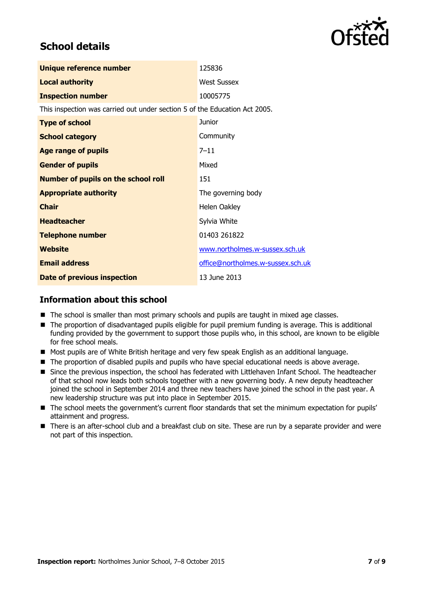

# **School details**

| Unique reference number                                                    | 125836                            |
|----------------------------------------------------------------------------|-----------------------------------|
| <b>Local authority</b>                                                     | <b>West Sussex</b>                |
| <b>Inspection number</b>                                                   | 10005775                          |
| This inspection was carried out under section 5 of the Education Act 2005. |                                   |
| <b>Type of school</b>                                                      | Junior                            |
| <b>School category</b>                                                     | Community                         |
| <b>Age range of pupils</b>                                                 | $7 - 11$                          |
| <b>Gender of pupils</b>                                                    | Mixed                             |
| <b>Number of pupils on the school roll</b>                                 | 151                               |
| <b>Appropriate authority</b>                                               | The governing body                |
| <b>Chair</b>                                                               | Helen Oakley                      |
| <b>Headteacher</b>                                                         | Sylvia White                      |
| <b>Telephone number</b>                                                    | 01403 261822                      |
| Website                                                                    | www.northolmes.w-sussex.sch.uk    |
| <b>Email address</b>                                                       | office@northolmes.w-sussex.sch.uk |
| <b>Date of previous inspection</b>                                         | 13 June 2013                      |

#### **Information about this school**

- The school is smaller than most primary schools and pupils are taught in mixed age classes.
- The proportion of disadvantaged pupils eligible for pupil premium funding is average. This is additional funding provided by the government to support those pupils who, in this school, are known to be eligible for free school meals.
- Most pupils are of White British heritage and very few speak English as an additional language.
- The proportion of disabled pupils and pupils who have special educational needs is above average.
- **Since the previous inspection, the school has federated with Littlehaven Infant School. The headteacher** of that school now leads both schools together with a new governing body. A new deputy headteacher joined the school in September 2014 and three new teachers have joined the school in the past year. A new leadership structure was put into place in September 2015.
- The school meets the government's current floor standards that set the minimum expectation for pupils' attainment and progress.
- There is an after-school club and a breakfast club on site. These are run by a separate provider and were not part of this inspection.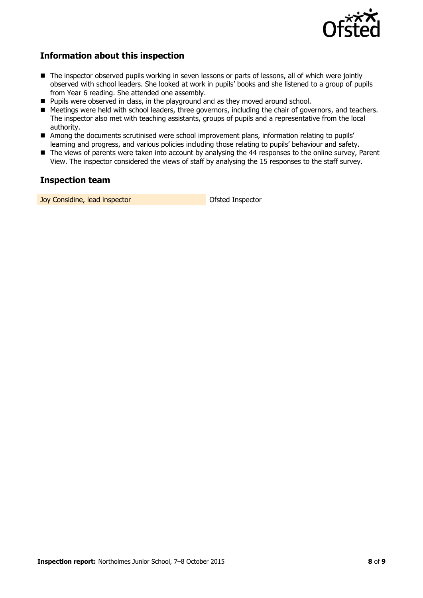

### **Information about this inspection**

- The inspector observed pupils working in seven lessons or parts of lessons, all of which were jointly observed with school leaders. She looked at work in pupils' books and she listened to a group of pupils from Year 6 reading. She attended one assembly.
- **Pupils were observed in class, in the playground and as they moved around school.**
- Meetings were held with school leaders, three governors, including the chair of governors, and teachers. The inspector also met with teaching assistants, groups of pupils and a representative from the local authority.
- Among the documents scrutinised were school improvement plans, information relating to pupils' learning and progress, and various policies including those relating to pupils' behaviour and safety.
- The views of parents were taken into account by analysing the 44 responses to the online survey, Parent View. The inspector considered the views of staff by analysing the 15 responses to the staff survey.

#### **Inspection team**

**Joy Considine, lead inspector Constant Inspector** Ofsted Inspector